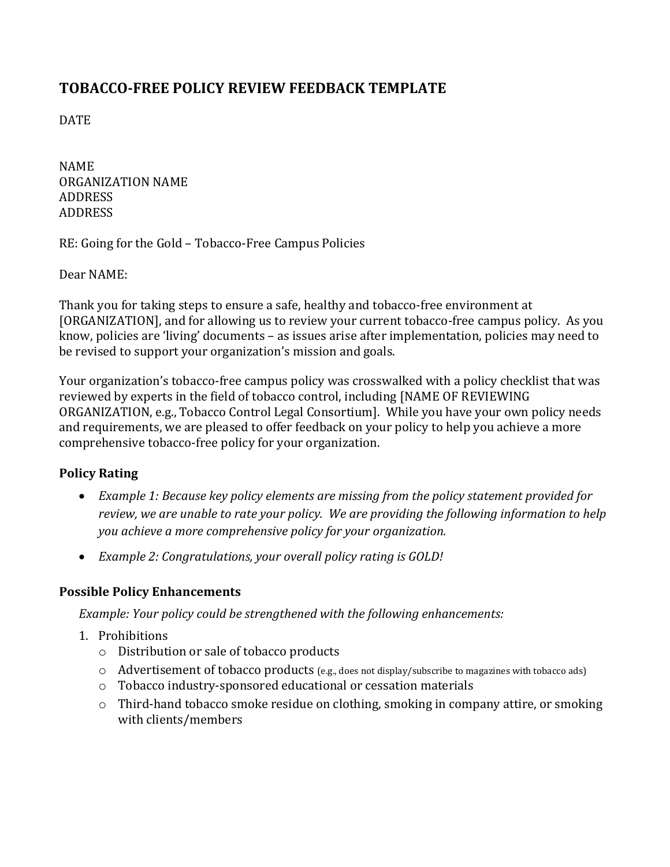## **TOBACCO-FREE POLICY REVIEW FEEDBACK TEMPLATE**

DATE

NAME ORGANIZATION NAME ADDRESS ADDRESS

RE: Going for the Gold – Tobacco-Free Campus Policies

Dear NAME:

Thank you for taking steps to ensure a safe, healthy and tobacco-free environment at [ORGANIZATION], and for allowing us to review your current tobacco-free campus policy. As you know, policies are 'living' documents – as issues arise after implementation, policies may need to be revised to support your organization's mission and goals.

Your organization's tobacco-free campus policy was crosswalked with a policy checklist that was reviewed by experts in the field of tobacco control, including [NAME OF REVIEWING ORGANIZATION, e.g., Tobacco Control Legal Consortium]. While you have your own policy needs and requirements, we are pleased to offer feedback on your policy to help you achieve a more comprehensive tobacco-free policy for your organization.

## **Policy Rating**

- *Example 1: Because key policy elements are missing from the policy statement provided for review, we are unable to rate your policy. We are providing the following information to help you achieve a more comprehensive policy for your organization.*
- *Example 2: Congratulations, your overall policy rating is GOLD!*

## **Possible Policy Enhancements**

*Example: Your policy could be strengthened with the following enhancements:*

- 1. Prohibitions
	- o Distribution or sale of tobacco products
	- $\circ$  Advertisement of tobacco products (e.g., does not display/subscribe to magazines with tobacco ads)
	- o Tobacco industry-sponsored educational or cessation materials
	- o Third-hand tobacco smoke residue on clothing, smoking in company attire, or smoking with clients/members